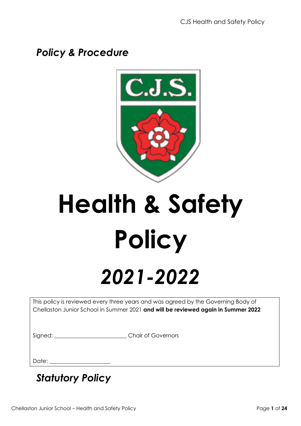# *Policy & Procedure*



# **Health & Safety Policy**

# *2021-2022*

This policy is reviewed every three years and was agreed by the Governing Body of Chellaston Junior School in Summer 2021 **and will be reviewed again in Summer 2022**

Signed: Chair of Governors

Date:

*Statutory Policy*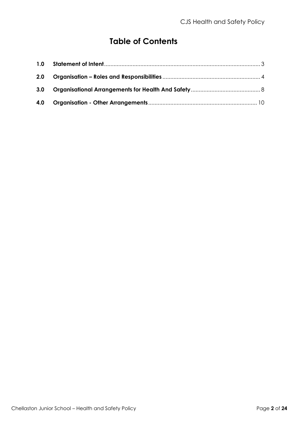# **Table of Contents**

| 2.0 |  |
|-----|--|
|     |  |
| 4.0 |  |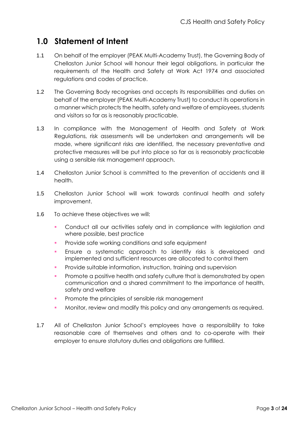# <span id="page-2-0"></span>**1.0 Statement of Intent**

- 1.1 On behalf of the employer (PEAK Multi-Academy Trust), the Governing Body of Chellaston Junior School will honour their legal obligations, in particular the requirements of the Health and Safety at Work Act 1974 and associated regulations and codes of practice.
- 1.2 The Governing Body recognises and accepts its responsibilities and duties on behalf of the employer (PEAK Multi-Academy Trust) to conduct its operations in a manner which protects the health, safety and welfare of employees, students and visitors so far as is reasonably practicable.
- 1.3 In compliance with the Management of Health and Safety at Work Regulations, risk assessments will be undertaken and arrangements will be made, where significant risks are identified, the necessary preventative and protective measures will be put into place so far as is reasonably practicable using a sensible risk management approach.
- 1.4 Chellaston Junior School is committed to the prevention of accidents and ill health.
- 1.5 Chellaston Junior School will work towards continual health and safety improvement.
- 1.6 To achieve these objectives we will:
	- Conduct all our activities safely and in compliance with legislation and where possible, best practice
	- **•** Provide safe working conditions and safe equipment
	- Ensure a systematic approach to identify risks is developed and implemented and sufficient resources are allocated to control them
	- Provide suitable information, instruction, training and supervision
	- **•** Promote a positive health and safety culture that is demonstrated by open communication and a shared commitment to the importance of health, safety and welfare
	- **•** Promote the principles of sensible risk management
	- Monitor, review and modify this policy and any arrangements as required.
- <span id="page-2-1"></span>1.7 All of Chellaston Junior School's employees have a responsibility to take reasonable care of themselves and others and to co-operate with their employer to ensure statutory duties and obligations are fulfilled.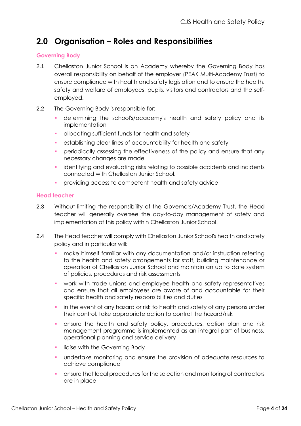# **2.0 Organisation – Roles and Responsibilities**

#### **Governing Body**

- 2.1 Chellaston Junior School is an Academy whereby the Governing Body has overall responsibility on behalf of the employer (PEAK Multi-Academy Trust) to ensure compliance with health and safety legislation and to ensure the health, safety and welfare of employees, pupils, visitors and contractors and the selfemployed.
- 2.2 The Governing Body is responsible for:
	- determining the school's/academy's health and safety policy and its implementation
	- allocating sufficient funds for health and safety
	- **•** establishing clear lines of accountability for health and safety
	- **•** periodically assessing the effectiveness of the policy and ensure that any necessary changes are made
	- identifying and evaluating risks relating to possible accidents and incidents connected with Chellaston Junior School.
	- **•** providing access to competent health and safety advice

#### **Head teacher**

- 2.3 Without limiting the responsibility of the Governors/Academy Trust, the Head teacher will generally oversee the day-to-day management of safety and implementation of this policy within Chellaston Junior School.
- 2.4 The Head teacher will comply with Chellaston Junior School's health and safety policy and in particular will:
	- **make himself familiar with any documentation and/or instruction referring** to the health and safety arrangements for staff, building maintenance or operation of Chellaston Junior School and maintain an up to date system of policies, procedures and risk assessments
	- work with trade unions and employee health and safety representatives and ensure that all employees are aware of and accountable for their specific health and safety responsibilities and duties
	- **•** in the event of any hazard or risk to health and safety of any persons under their control, take appropriate action to control the hazard/risk
	- ensure the health and safety policy, procedures, action plan and risk management programme is implemented as an integral part of business, operational planning and service delivery
	- liaise with the Governing Body
	- undertake monitoring and ensure the provision of adequate resources to achieve compliance
	- ensure that local procedures for the selection and monitoring of contractors are in place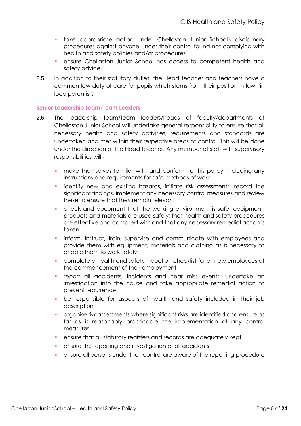- **•** take appropriate action under Chellaston Junior School's disciplinary procedures against anyone under their control found not complying with health and safety policies and/or procedures
- ensure Chellaston Junior School has access to competent health and safety advice
- 2.5 In addition to their statutory duties**,** the Head teacher and teachers have a common law duty of care for pupils which stems from their position in law "in loco parentis".

#### **Senior Leadership Team/Team Leaders**

- 2.6 The leadership team/team leaders/heads of faculty/departments at Chellaston Junior School will undertake general responsibility to ensure that all necessary health and safety activities, requirements and standards are undertaken and met within their respective areas of control. This will be done under the direction of the Head teacher. Any member of staff with supervisory responsibilities will:-
	- **•** make themselves familiar with and conform to this policy, including any instructions and requirements for safe methods of work
	- identify new and existing hazards, initiate risk assessments, record the significant findings, implement any necessary control measures and review these to ensure that they remain relevant
	- check and document that the working environment is safe; equipment, products and materials are used safely; that health and safety procedures are effective and complied with and that any necessary remedial action is taken
	- inform, instruct, train, supervise and communicate with employees and provide them with equipment, materials and clothing as is necessary to enable them to work safely;
	- complete a health and safety induction checklist for all new employees at the commencement of their employment
	- report all accidents, incidents and near miss events, undertake an investigation into the cause and take appropriate remedial action to prevent recurrence
	- be responsible for aspects of health and safety included in their job description
	- organise risk assessments where significant risks are identified and ensure as far as is reasonably practicable the implementation of any control measures
	- ensure that all statutory registers and records are adequately kept
	- ensure the reporting and investigation of all accidents
	- ensure all persons under their control are aware of the reporting procedure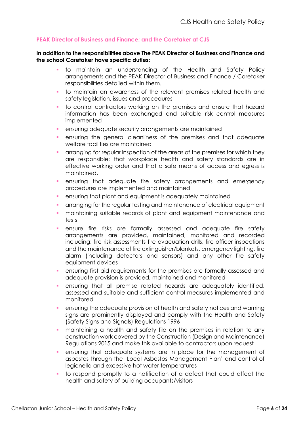#### **PEAK Director of Business and Finance; and the Caretaker at CJS**

#### **In addition to the responsibilities above The PEAK Director of Business and Finance and the school Caretaker have specific duties:**

- to maintain an understanding of the Health and Safety Policy arrangements and the PEAK Director of Business and Finance / Caretaker responsibilities detailed within them.
- to maintain an awareness of the relevant premises related health and safety legislation, issues and procedures
- to control contractors working on the premises and ensure that hazard information has been exchanged and suitable risk control measures implemented
- ensuring adequate security arrangements are maintained
- ensuring the general cleanliness of the premises and that adequate welfare facilities are maintained
- arranging for regular inspection of the greas of the premises for which they are responsible; that workplace health and safety standards are in effective working order and that a safe means of access and egress is maintained.
- ensuring that adequate fire safety arrangements and emergency procedures are implemented and maintained
- ensuring that plant and equipment is adequately maintained
- arranging for the regular testing and maintenance of electrical equipment
- maintaining suitable records of plant and equipment maintenance and tests
- **·** ensure fire risks are formally assessed and adequate fire safety arrangements are provided, maintained, monitored and recorded including; fire risk assessments fire evacuation drills, fire officer inspections and the maintenance of fire extinguisher/blankets, emergency lighting, fire alarm (including detectors and sensors) and any other fire safety equipment devices
- ensuring first aid requirements for the premises are formally assessed and adequate provision is provided, maintained and monitored
- ensuring that all premise related hazards are adequately identified, assessed and suitable and sufficient control measures implemented and monitored
- ensuring the adequate provision of health and safety notices and warning signs are prominently displayed and comply with the Health and Safety (Safety Signs and Signals) Regulations 1996
- **•** maintaining a health and safety file on the premises in relation to any construction work covered by the Construction (Design and Maintenance) Regulations 2015 and make this available to contractors upon request
- ensuring that adequate systems are in place for the management of asbestos through the 'Local Asbestos Management Plan' and control of legionella and excessive hot water temperatures
- to respond promptly to a notification of a defect that could affect the health and safety of building occupants/visitors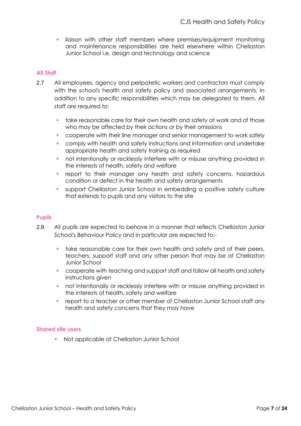**·** liaison with other staff members where premises/equipment monitoring and maintenance responsibilities are held elsewhere within Chellaston Junior School i.e. design and technology and science

#### **All Staff**

- 2.7 All employees, agency and peripatetic workers and contractors must comply with the school's health and safety policy and associated arrangements, in addition to any specific responsibilities which may be delegated to them. All staff are required to:
	- **•** take reasonable care for their own health and safety at work and of those who may be affected by their actions or by their omissions
	- cooperate with their line manager and senior management to work safely
	- comply with health and safety instructions and information and undertake appropriate health and safety training as required
	- not intentionally or recklessly interfere with or misuse anything provided in the interests of health, safety and welfare
	- report to their manager any health and safety concerns, hazardous condition or defect in the health and safety arrangements
	- support Chellaston Junior School in embedding a positive safety culture that extends to pupils and any visitors to the site

#### **Pupils**

- 2.8 All pupils are expected to behave in a manner that reflects Chellaston Junior School's Behaviour Policy and in particular are expected to:-
	- **•** take reasonable care for their own health and safety and of their peers, teachers, support staff and any other person that may be at Chellaston Junior School
	- cooperate with teaching and support staff and follow all health and safety instructions given
	- not intentionally or recklessly interfere with or misuse anything provided in the interests of health, safety and welfare
	- report to a teacher or other member of Chellaston Junior School staff any health and safety concerns that they may have

#### **Shared site users**

Not applicable at Chellaston Junior School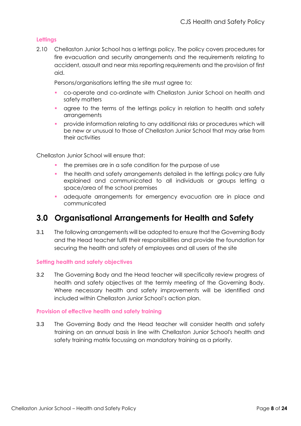#### **Lettings**

2.10 Chellaston Junior School has a lettings policy. The policy covers procedures for fire evacuation and security arrangements and the requirements relating to accident, assault and near miss reporting requirements and the provision of first aid.

Persons/organisations letting the site must agree to:

- co-operate and co-ordinate with Chellaston Junior School on health and safety matters
- agree to the terms of the lettings policy in relation to health and safety arrangements
- provide information relating to any additional risks or procedures which will be new or unusual to those of Chellaston Junior School that may arise from their activities

Chellaston Junior School will ensure that:

- the premises are in a safe condition for the purpose of use
- **•** the health and safety arrangements detailed in the lettings policy are fully explained and communicated to all individuals or groups letting a space/area of the school premises
- adequate arrangements for emergency evacuation are in place and communicated

# <span id="page-7-0"></span>**3.0 Organisational Arrangements for Health and Safety**

3.1 The following arrangements will be adopted to ensure that the Governing Body and the Head teacher fulfil their responsibilities and provide the foundation for securing the health and safety of employees and all users of the site

#### **Setting health and safety objectives**

3.2 The Governing Body and the Head teacher will specifically review progress of health and safety objectives at the termly meeting of the Governing Body. Where necessary health and safety improvements will be identified and included within Chellaston Junior School's action plan.

#### **Provision of effective health and safety training**

3.3 The Governing Body and the Head teacher will consider health and safety training on an annual basis in line with Chellaston Junior School's health and safety training matrix focussing on mandatory training as a priority.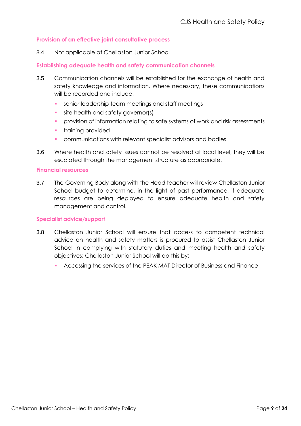#### **Provision of an effective joint consultative process**

3.4 Not applicable at Chellaston Junior School

#### **Establishing adequate health and safety communication channels**

- 3.5 Communication channels will be established for the exchange of health and safety knowledge and information. Where necessary, these communications will be recorded and include:
	- **•** senior leadership team meetings and staff meetings
	- site health and safety governor(s)
	- **•** provision of information relating to safe systems of work and risk assessments
	- training provided
	- communications with relevant specialist advisors and bodies
- 3.6 Where health and safety issues cannot be resolved at local level, they will be escalated through the management structure as appropriate.

#### **Financial resources**

3.7 The Governing Body along with the Head teacher will review Chellaston Junior School budget to determine, in the light of past performance, if adequate resources are being deployed to ensure adequate health and safety management and control.

#### **Specialist advice/support**

- 3.8 Chellaston Junior School will ensure that access to competent technical advice on health and safety matters is procured to assist Chellaston Junior School in complying with statutory duties and meeting health and safety objectives; Chellaston Junior School will do this by;
	- Accessing the services of the PEAK MAT Director of Business and Finance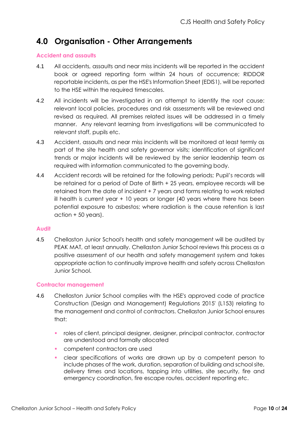# <span id="page-9-0"></span>**4.0 Organisation - Other Arrangements**

#### **Accident and assaults**

- 4.1 All accidents, assaults and near miss incidents will be reported in the accident book or agreed reporting form within 24 hours of occurrence; RIDDOR reportable incidents, as per the HSE's Information Sheet (EDIS1), will be reported to the HSE within the required timescales.
- 4.2 All incidents will be investigated in an attempt to identify the root cause: relevant local policies, procedures and risk assessments will be reviewed and revised as required. All premises related issues will be addressed in a timely manner. Any relevant learning from investigations will be communicated to relevant staff, pupils etc.
- 4.3 Accident, assaults and near miss incidents will be monitored at least termly as part of the site health and safety governor visits; identification of significant trends or major incidents will be reviewed by the senior leadership team as required with information communicated to the governing body.
- 4.4 Accident records will be retained for the following periods; Pupil's records will be retained for a period of Date of Birth + 25 years, employee records will be retained from the date of incident + 7 years and forms relating to work related ill health is current year + 10 years or longer (40 years where there has been potential exposure to asbestos; where radiation is the cause retention is last action + 50 years).

#### **Audit**

4.5 Chellaston Junior School's health and safety management will be audited by PEAK MAT, at least annually. Chellaston Junior School reviews this process as a positive assessment of our health and safety management system and takes appropriate action to continually improve health and safety across Chellaston Junior School.

#### **Contractor management**

- 4.6 Chellaston Junior School complies with the HSE's approved code of practice Construction (Design and Management) Regulations 2015' (L153) relating to the management and control of contractors. Chellaston Junior School ensures that:
	- roles of client, principal designer, designer, principal contractor, contractor are understood and formally allocated
	- competent contractors are used
	- clear specifications of works are drawn up by a competent person to include phases of the work, duration, separation of building and school site, delivery times and locations, tapping into utilities, site security, fire and emergency coordination, fire escape routes, accident reporting etc.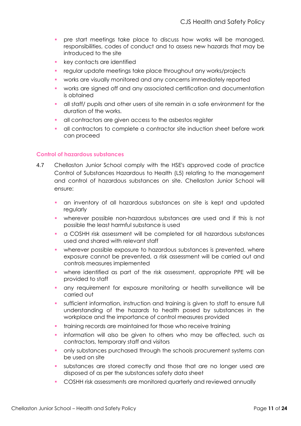- **•** pre start meetings take place to discuss how works will be managed, responsibilities, codes of conduct and to assess new hazards that may be introduced to the site
- key contacts are identified
- **•** regular update meetings take place throughout any works/projects
- works are visually monitored and any concerns immediately reported
- works are signed off and any associated certification and documentation is obtained
- all staff/ pupils and other users of site remain in a safe environment for the duration of the works.
- all contractors are given access to the asbestos register
- **·** all contractors to complete a contractor site induction sheet before work can proceed

#### **Control of hazardous substances**

- 4.7 Chellaston Junior School comply with the HSE's approved code of practice Control of Substances Hazardous to Health (L5) relating to the management and control of hazardous substances on site. Chellaston Junior School will ensure:
	- an inventory of all hazardous substances on site is kept and updated regularly
	- wherever possible non-hazardous substances are used and if this is not possible the least harmful substance is used
	- a COSHH risk assessment will be completed for all hazardous substances used and shared with relevant staff
	- wherever possible exposure to hazardous substances is prevented, where exposure cannot be prevented, a risk assessment will be carried out and controls measures implemented
	- where identified as part of the risk assessment, appropriate PPE will be provided to staff
	- any requirement for exposure monitoring or health surveillance will be carried out
	- sufficient information, instruction and training is given to staff to ensure full understanding of the hazards to health posed by substances in the workplace and the importance of control measures provided
	- training records are maintained for those who receive training
	- information will also be given to others who may be affected, such as contractors, temporary staff and visitors
	- **•** only substances purchased through the schools procurement systems can be used on site
	- substances are stored correctly and those that are no longer used are disposed of as per the substances safety data sheet
	- COSHH risk assessments are monitored quarterly and reviewed annually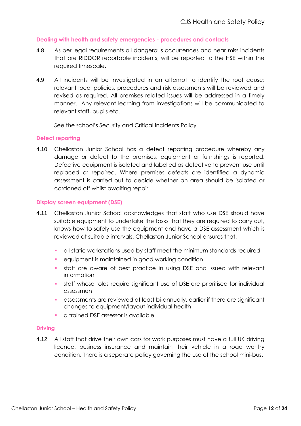#### **Dealing with health and safety emergencies - procedures and contacts**

- 4.8 As per legal requirements all dangerous occurrences and near miss incidents that are RIDDOR reportable incidents, will be reported to the HSE within the required timescale.
- 4.9 All incidents will be investigated in an attempt to identify the root cause: relevant local policies, procedures and risk assessments will be reviewed and revised as required. All premises related issues will be addressed in a timely manner. Any relevant learning from investigations will be communicated to relevant staff, pupils etc.

See the school's Security and Critical Incidents Policy

#### **Defect reporting**

4.10 Chellaston Junior School has a defect reporting procedure whereby any damage or defect to the premises, equipment or furnishings is reported. Defective equipment is isolated and labelled as defective to prevent use until replaced or repaired. Where premises defects are identified a dynamic assessment is carried out to decide whether an area should be isolated or cordoned off whilst awaiting repair.

#### **Display screen equipment (DSE)**

- 4.11 Chellaston Junior School acknowledges that staff who use DSE should have suitable equipment to undertake the tasks that they are required to carry out, knows how to safely use the equipment and have a DSE assessment which is reviewed at suitable intervals. Chellaston Junior School ensures that:
	- all static workstations used by staff meet the minimum standards required
	- equipment is maintained in good working condition
	- staff are aware of best practice in using DSE and issued with relevant information
	- staff whose roles require significant use of DSE are prioritised for individual assessment
	- assessments are reviewed at least bi-annually, earlier if there are significant changes to equipment/layout individual health
	- **•** a trained DSE assessor is available

#### **Driving**

4.12 All staff that drive their own cars for work purposes must have a full UK driving licence, business insurance and maintain their vehicle in a road worthy condition. There is a separate policy governing the use of the school mini-bus.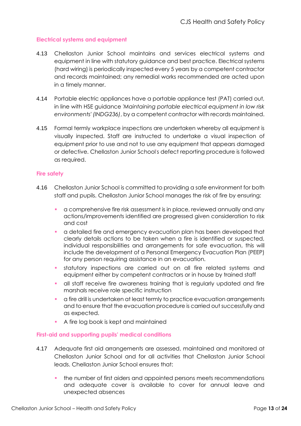#### **Electrical systems and equipment**

- 4.13 Chellaston Junior School maintains and services electrical systems and equipment in line with statutory guidance and best practice. Electrical systems (hard wiring) is periodically inspected every 5 years by a competent contractor and records maintained; any remedial works recommended are acted upon in a timely manner.
- 4.14 Portable electric appliances have a portable appliance test (PAT) carried out, in line with HSE guidance *'Maintaining portable electrical equipment in low risk environments' (INDG236)*, by a competent contractor with records maintained.
- 4.15 Formal termly workplace inspections are undertaken whereby all equipment is visually inspected. Staff are instructed to undertake a visual inspection of equipment prior to use and not to use any equipment that appears damaged or defective. Chellaston Junior School's defect reporting procedure is followed as required.

#### **Fire safety**

- 4.16 Chellaston Junior School is committed to providing a safe environment for both staff and pupils. Chellaston Junior School manages the risk of fire by ensuring:
	- **•** a comprehensive fire risk assessment is in place, reviewed annually and any actions/improvements identified are progressed given consideration to risk and cost
	- a detailed fire and emergency evacuation plan has been developed that clearly details actions to be taken when a fire is identified or suspected, individual responsibilities and arrangements for safe evacuation, this will include the development of a Personal Emergency Evacuation Plan (PEEP) for any person requiring assistance in an evacuation.
	- statutory inspections are carried out on all fire related systems and equipment either by competent contractors or in house by trained staff
	- all staff receive fire awareness training that is regularly updated and fire marshals receive role specific instruction
	- a fire drill is undertaken at least termly to practice evacuation arrangements and to ensure that the evacuation procedure is carried out successfully and as expected.
	- A fire log book is kept and maintained

#### **First-aid and supporting pupils' medical conditions**

- 4.17 Adequate first aid arrangements are assessed, maintained and monitored at Chellaston Junior School and for all activities that Chellaston Junior School leads. Chellaston Junior School ensures that:
	- the number of first aiders and appointed persons meets recommendations and adequate cover is available to cover for annual leave and unexpected absences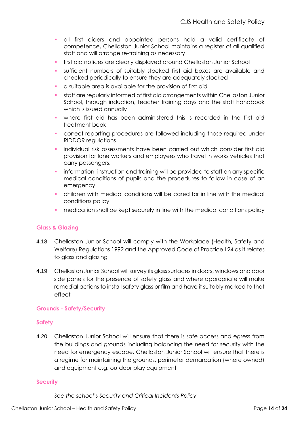- **·** all first aiders and appointed persons hold a valid certificate of competence, Chellaston Junior School maintains a register of all qualified staff and will arrange re-training as necessary
- first aid notices are clearly displayed around Chellaston Junior School
- sufficient numbers of suitably stocked first aid boxes are available and checked periodically to ensure they are adequately stocked
- a suitable area is available for the provision of first aid
- staff are regularly informed of first aid arrangements within Chellaston Junior School, through induction, teacher training days and the staff handbook which is issued annually
- where first aid has been administered this is recorded in the first aid treatment book
- correct reporting procedures are followed including those required under RIDDOR regulations
- individual risk assessments have been carried out which consider first aid provision for lone workers and employees who travel in works vehicles that carry passengers.
- information, instruction and training will be provided to staff on any specific medical conditions of pupils and the procedures to follow in case of an emergency
- children with medical conditions will be cared for in line with the medical conditions policy
- medication shall be kept securely in line with the medical conditions policy

#### **Glass & Glazing**

- 4.18 Chellaston Junior School will comply with the Workplace (Health, Safety and Welfare) Regulations 1992 and the Approved Code of Practice L24 as it relates to glass and glazing
- 4.19 Chellaston Junior School will survey its glass surfaces in doors, windows and door side panels for the presence of safety glass and where appropriate will make remedial actions to install safety glass or film and have it suitably marked to that effect

#### **Grounds - Safety/Security**

#### **Safety**

4.20 Chellaston Junior School will ensure that there is safe access and egress from the buildings and grounds including balancing the need for security with the need for emergency escape. Chellaston Junior School will ensure that there is a regime for maintaining the grounds, perimeter demarcation (where owned) and equipment e.g. outdoor play equipment

#### **Security**

*See the school's Security and Critical Incidents Policy*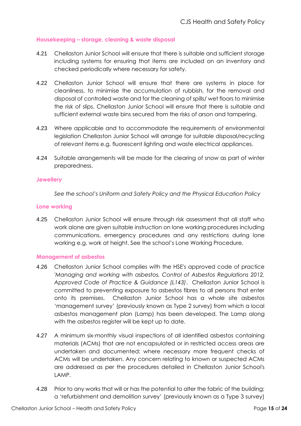#### **Housekeeping – storage, cleaning & waste disposal**

- 4.21 Chellaston Junior School will ensure that there is suitable and sufficient storage including systems for ensuring that items are included on an inventory and checked periodically where necessary for safety.
- 4.22 Chellaston Junior School will ensure that there are systems in place for cleanliness, to minimise the accumulation of rubbish, for the removal and disposal of controlled waste and for the cleaning of spills/ wet floors to minimise the risk of slips. Chellaston Junior School will ensure that there is suitable and sufficient external waste bins secured from the risks of arson and tampering.
- 4.23 Where applicable and to accommodate the requirements of environmental legislation Chellaston Junior School will arrange for suitable disposal/recycling of relevant items e.g. fluorescent lighting and waste electrical appliances.
- 4.24 Suitable arrangements will be made for the clearing of snow as part of winter preparedness.

#### **Jewellery**

*See the school's Uniform and Safety Policy and the Physical Education Policy*

#### **Lone working**

4.25 Chellaston Junior School will ensure through risk assessment that all staff who work alone are given suitable instruction on lone working procedures including communications, emergency procedures and any restrictions during lone working e.g. work at height. See the school's Lone Working Procedure.

#### **Management of asbestos**

- 4.26 Chellaston Junior School complies with the HSE's approved code of practice *'Managing and working with asbestos, Control of Asbestos Regulations 2012, Approved Code of Practice & Guidance (L143)*. Chellaston Junior School is committed to preventing exposure to asbestos fibres to all persons that enter onto its premises. Chellaston Junior School has a whole site asbestos 'management survey' (previously known as Type 2 survey) from which a local asbestos management plan (Lamp) has been developed. The Lamp along with the asbestos register will be kept up to date.
- 4.27 A minimum six-monthly visual inspections of all identified asbestos containing materials (ACMs) that are not encapsulated or in restricted access areas are undertaken and documented; where necessary more frequent checks of ACMs will be undertaken. Any concern relating to known or suspected ACMs are addressed as per the procedures detailed in Chellaston Junior School's LAMP.
- 4.28 Prior to any works that will or has the potential to alter the fabric of the building; a 'refurbishment and demolition survey' (previously known as a Type 3 survey)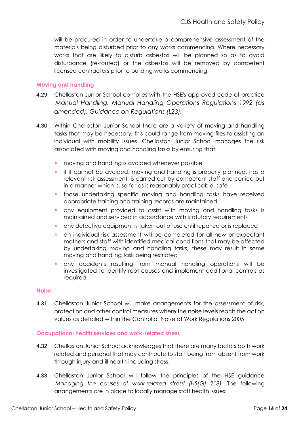will be procured in order to undertake a comprehensive assessment of the materials being disturbed prior to any works commencing. Where necessary works that are likely to disturb asbestos will be planned so as to avoid disturbance (re-routed) or the asbestos will be removed by competent licensed contractors prior to building works commencing.

#### **Moving and handling**

- 4.29 Chellaston Junior School complies with the HSE's approved code of practice *'Manual Handling. Manual Handling Operations Regulations 1992 (as amended). Guidance on Regulations (L23).*
- 4.30 Within Chellaston Junior School there are a variety of moving and handling tasks that may be necessary; this could range from moving files to assisting an individual with mobility issues. Chellaston Junior School manages the risk associated with moving and handling tasks by ensuring that:
	- moving and handling is avoided whenever possible
	- if it cannot be avoided, moving and handling is properly planned, has a relevant risk assessment, is carried out by competent staff and carried out in a manner which is, so far as is reasonably practicable, safe
	- **•** those undertaking specific moving and handling tasks have received appropriate training and training records are maintained
	- any equipment provided to assist with moving and handling tasks is maintained and serviced in accordance with statutory requirements
	- any defective equipment is taken out of use until repaired or is replaced
	- an individual risk assessment will be completed for all new or expectant mothers and staff with identified medical conditions that may be affected by undertaking moving and handling tasks, these may result in some moving and handling task being restricted
	- any accidents resulting from manual handling operations will be investigated to identify root causes and implement additional controls as required

#### **Noise**

4.31 Chellaston Junior School will make arrangements for the assessment of risk, protection and other control measures where the noise levels reach the action values as detailed within the Control of Noise at Work Regulations 2005

#### **Occupational health services and work-related stress**

- 4.32 Chellaston Junior School acknowledges that there are many factors both work related and personal that may contribute to staff being from absent from work through injury and ill health including stress.
- 4.33 Chellaston Junior School will follow the principles of the HSE guidance *'Managing the causes of work-related stress' (HS(G) 218).* The following arrangements are in place to locally manage staff health issues: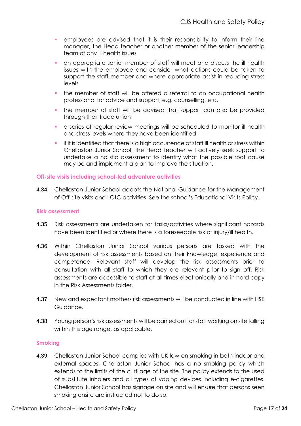- employees are advised that it is their responsibility to inform their line manager, the Head teacher or another member of the senior leadership team of any ill health issues
- an appropriate senior member of staff will meet and discuss the ill health issues with the employee and consider what actions could be taken to support the staff member and where appropriate assist in reducing stress levels
- the member of staff will be offered a referral to an occupational health professional for advice and support, e.g. counselling, etc.
- the member of staff will be advised that support can also be provided through their trade union
- a series of regular review meetings will be scheduled to monitor ill health and stress levels where they have been identified
- if it is identified that there is a high occurrence of staff ill health or stress within Chellaston Junior School, the Head teacher will actively seek support to undertake a holistic assessment to identify what the possible root cause may be and implement a plan to improve the situation.

#### **Off-site visits including school-led adventure activities**

4.34 Chellaston Junior School adopts the National Guidance for the Management of Off-site visits and LOtC activities. See the school's Educational Visits Policy.

#### **Risk assessment**

- 4.35 Risk assessments are undertaken for tasks/activities where significant hazards have been identified or where there is a foreseeable risk of injury/ill health.
- 4.36 Within Chellaston Junior School various persons are tasked with the development of risk assessments based on their knowledge, experience and competence. Relevant staff will develop the risk assessments prior to consultation with all staff to which they are relevant prior to sign off. Risk assessments are accessible to staff at all times electronically and in hard copy in the Risk Assessments folder.
- 4.37 New and expectant mothers risk assessments will be conducted in line with HSE Guidance.
- 4.38 Young person's risk assessments will be carried out for staff working on site falling within this age range, as applicable.

#### **Smoking**

4.39 Chellaston Junior School complies with UK law on smoking in both indoor and external spaces. Chellaston Junior School has a no smoking policy which extends to the limits of the curtilage of the site. The policy extends to the used of substitute inhalers and all types of vaping devices including e-cigarettes. Chellaston Junior School has signage on site and will ensure that persons seen smoking onsite are instructed not to do so.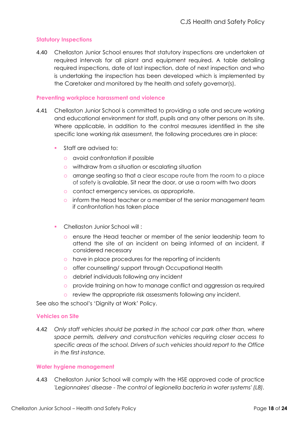#### **Statutory Inspections**

4.40 Chellaston Junior School ensures that statutory inspections are undertaken at required intervals for all plant and equipment required. A table detailing required inspections, date of last inspection, date of next inspection and who is undertaking the inspection has been developed which is implemented by the Caretaker and monitored by the health and safety governor(s).

#### **Preventing workplace harassment and violence**

- 4.41 Chellaston Junior School is committed to providing a safe and secure working and educational environment for staff, pupils and any other persons on its site. Where applicable, in addition to the control measures identified in the site specific lone working risk assessment, the following procedures are in place:
	- Staff are advised to:
		- avoid confrontation if possible
		- withdraw from a situation or escalating situation
		- arrange seating so that a clear escape route from the room to a place of safety is available. Sit near the door, or use a room with two doors
		- contact emergency services, as appropriate.
		- o inform the Head teacher or a member of the senior management team if confrontation has taken place
	- Chellaston Junior School will :
		- ensure the Head teacher or member of the senior leadership team to attend the site of an incident on being informed of an incident, if considered necessary
		- have in place procedures for the reporting of incidents
		- o offer counselling/ support through Occupational Health
		- debrief individuals following any incident
		- provide training on how to manage conflict and aggression as required
		- o review the appropriate risk assessments following any incident.

See also the school's 'Dignity at Work' Policy.

#### **Vehicles on Site**

4.42 *Only staff vehicles should be parked in the school car park other than, where space permits, delivery and construction vehicles requiring closer access to specific areas of the school. Drivers of such vehicles should report to the Office in the first instance.*

#### **Water hygiene management**

4.43 Chellaston Junior School will comply with the HSE approved code of practice *'Legionnaires' disease - The control of legionella bacteria in water systems' (L8).*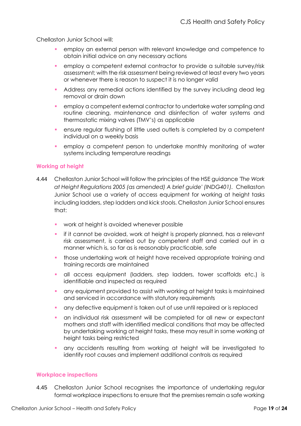Chellaston Junior School will:

- employ an external person with relevant knowledge and competence to obtain initial advice on any necessary actions
- employ a competent external contractor to provide a suitable survey/risk assessment; with the risk assessment being reviewed at least every two years or whenever there is reason to suspect it is no longer valid
- Address any remedial actions identified by the survey including dead leg removal or drain down
- employ a competent external contractor to undertake water sampling and routine cleaning, maintenance and disinfection of water systems and thermostatic mixing valves (TMV's) as applicable
- **EXEDENT ENSURE:** ensure regular flushing of little used outlets is completed by a competent individual on a weekly basis
- employ a competent person to undertake monthly monitoring of water systems including temperature readings

#### **Working at height**

- 4.44 Chellaston Junior School will follow the principles of the HSE guidance *'The Work at Height Regulations 2005 (as amended) A brief guide' (INDG401).* Chellaston Junior School use a variety of access equipment for working at height tasks including ladders, step ladders and kick stools. Chellaston Junior School ensures that:
	- work at height is avoided whenever possible
	- if it cannot be avoided, work at height is properly planned, has a relevant risk assessment, is carried out by competent staff and carried out in a manner which is, so far as is reasonably practicable, safe
	- those undertaking work at height have received appropriate training and training records are maintained
	- all access equipment (ladders, step ladders, tower scaffolds etc.) is identifiable and inspected as required
	- any equipment provided to assist with working at height tasks is maintained and serviced in accordance with statutory requirements
	- **•** any defective equipment is taken out of use until repaired or is replaced
	- **•** an individual risk assessment will be completed for all new or expectant mothers and staff with identified medical conditions that may be affected by undertaking working at height tasks, these may result in some working at height tasks being restricted
	- any accidents resulting from working at height will be investigated to identify root causes and implement additional controls as required

#### **Workplace inspections**

4.45 Chellaston Junior School recognises the importance of undertaking regular formal workplace inspections to ensure that the premises remain a safe working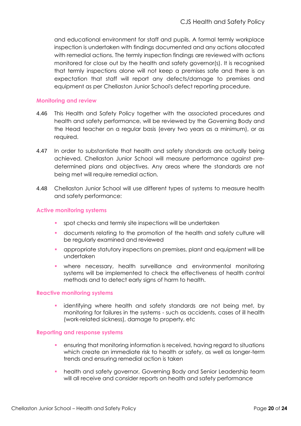and educational environment for staff and pupils. A formal termly workplace inspection is undertaken with findings documented and any actions allocated with remedial actions. The termly inspection findings are reviewed with actions monitored for close out by the health and safety governor(s). It is recognised that termly inspections alone will not keep a premises safe and there is an expectation that staff will report any defects/damage to premises and equipment as per Chellaston Junior School's defect reporting procedure.

#### **Monitoring and review**

- 4.46 This Health and Safety Policy together with the associated procedures and health and safety performance, will be reviewed by the Governing Body and the Head teacher on a regular basis (every two years as a minimum), or as required.
- 4.47 In order to substantiate that health and safety standards are actually being achieved, Chellaston Junior School will measure performance against predetermined plans and objectives. Any areas where the standards are not being met will require remedial action.
- 4.48 Chellaston Junior School will use different types of systems to measure health and safety performance:

#### **Active monitoring systems**

- spot checks and termly site inspections will be undertaken
- documents relating to the promotion of the health and safety culture will be regularly examined and reviewed
- appropriate statutory inspections on premises, plant and equipment will be undertaken
- where necessary, health surveillance and environmental monitoring systems will be implemented to check the effectiveness of health control methods and to detect early signs of harm to health.

#### **Reactive monitoring systems**

**Example 1** identifying where health and safety standards are not being met, by monitoring for failures in the systems - such as accidents, cases of ill health (work-related sickness), damage to property, etc

#### **Reporting and response systems**

- ensuring that monitoring information is received, having regard to situations which create an immediate risk to health or safety, as well as longer-term trends and ensuring remedial action is taken
- health and safety governor, Governing Body and Senior Leadership team will all receive and consider reports on health and safety performance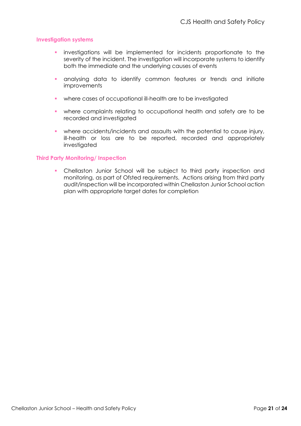#### **Investigation systems**

- investigations will be implemented for incidents proportionate to the severity of the incident. The investigation will incorporate systems to identify both the immediate and the underlying causes of events
- **•** analysing data to identify common features or trends and initiate **improvements**
- where cases of occupational ill-health are to be investigated
- where complaints relating to occupational health and safety are to be recorded and investigated
- **•** where accidents/incidents and assaults with the potential to cause injury, ill-health or loss are to be reported, recorded and appropriately investigated

#### **Third Party Monitoring/ Inspection**

▪ Chellaston Junior School will be subject to third party inspection and monitoring, as part of Ofsted requirements. Actions arising from third party audit/inspection will be incorporated within Chellaston Junior School action plan with appropriate target dates for completion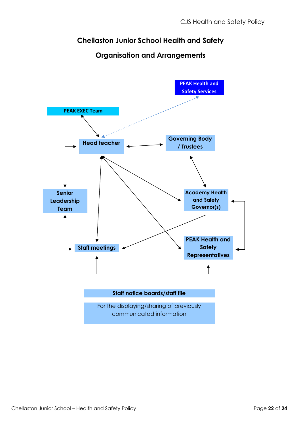# **Chellaston Junior School Health and Safety**



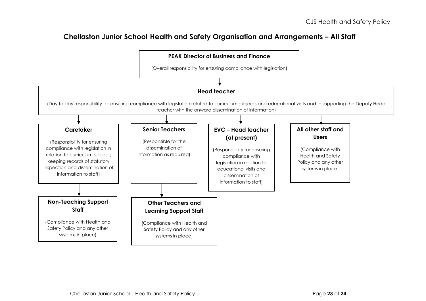### **Chellaston Junior School Health and Safety Organisation and Arrangements – All Staff**